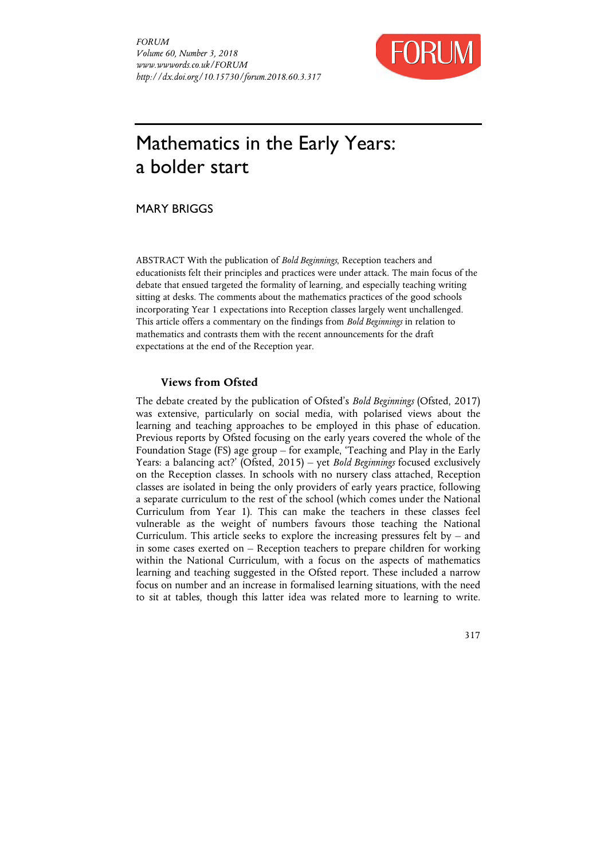

# Mathematics in the Early Years: a bolder start

MARY BRIGGS

ABSTRACT With the publication of *Bold Beginnings*, Reception teachers and educationists felt their principles and practices were under attack. The main focus of the debate that ensued targeted the formality of learning, and especially teaching writing sitting at desks. The comments about the mathematics practices of the good schools incorporating Year 1 expectations into Reception classes largely went unchallenged. This article offers a commentary on the findings from *Bold Beginnings* in relation to mathematics and contrasts them with the recent announcements for the draft expectations at the end of the Reception year.

### **Views from Ofsted**

The debate created by the publication of Ofsted's *Bold Beginnings* (Ofsted, 2017) was extensive, particularly on social media, with polarised views about the learning and teaching approaches to be employed in this phase of education. Previous reports by Ofsted focusing on the early years covered the whole of the Foundation Stage (FS) age group – for example, 'Teaching and Play in the Early Years: a balancing act?' (Ofsted, 2015) – yet *Bold Beginnings* focused exclusively on the Reception classes. In schools with no nursery class attached, Reception classes are isolated in being the only providers of early years practice, following a separate curriculum to the rest of the school (which comes under the National Curriculum from Year 1). This can make the teachers in these classes feel vulnerable as the weight of numbers favours those teaching the National Curriculum. This article seeks to explore the increasing pressures felt by  $-$  and in some cases exerted on – Reception teachers to prepare children for working within the National Curriculum, with a focus on the aspects of mathematics learning and teaching suggested in the Ofsted report. These included a narrow focus on number and an increase in formalised learning situations, with the need to sit at tables, though this latter idea was related more to learning to write.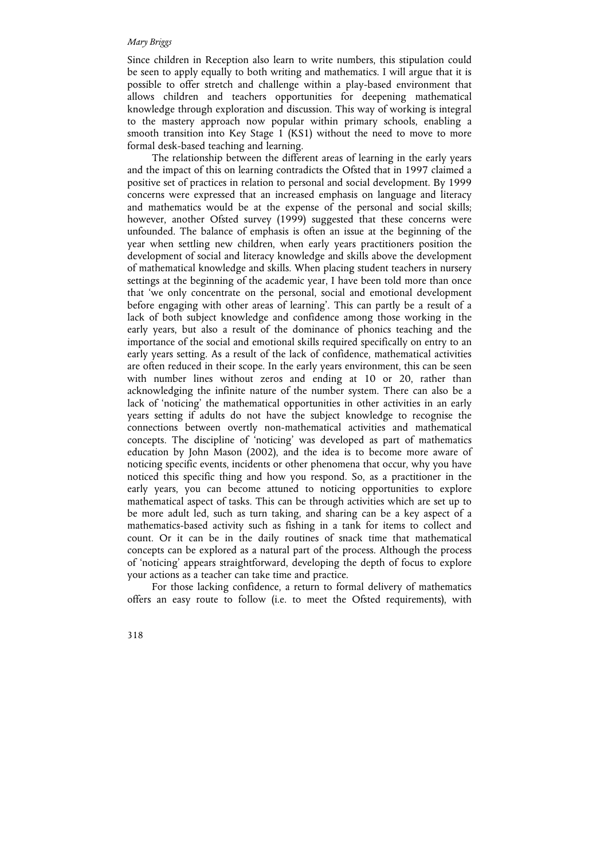Since children in Reception also learn to write numbers, this stipulation could be seen to apply equally to both writing and mathematics. I will argue that it is possible to offer stretch and challenge within a play-based environment that allows children and teachers opportunities for deepening mathematical knowledge through exploration and discussion. This way of working is integral to the mastery approach now popular within primary schools, enabling a smooth transition into Key Stage 1 (KS1) without the need to move to more formal desk-based teaching and learning.

The relationship between the different areas of learning in the early years and the impact of this on learning contradicts the Ofsted that in 1997 claimed a positive set of practices in relation to personal and social development. By 1999 concerns were expressed that an increased emphasis on language and literacy and mathematics would be at the expense of the personal and social skills; however, another Ofsted survey (1999) suggested that these concerns were unfounded. The balance of emphasis is often an issue at the beginning of the year when settling new children, when early years practitioners position the development of social and literacy knowledge and skills above the development of mathematical knowledge and skills. When placing student teachers in nursery settings at the beginning of the academic year, I have been told more than once that 'we only concentrate on the personal, social and emotional development before engaging with other areas of learning'. This can partly be a result of a lack of both subject knowledge and confidence among those working in the early years, but also a result of the dominance of phonics teaching and the importance of the social and emotional skills required specifically on entry to an early years setting. As a result of the lack of confidence, mathematical activities are often reduced in their scope. In the early years environment, this can be seen with number lines without zeros and ending at 10 or 20, rather than acknowledging the infinite nature of the number system. There can also be a lack of 'noticing' the mathematical opportunities in other activities in an early years setting if adults do not have the subject knowledge to recognise the connections between overtly non-mathematical activities and mathematical concepts. The discipline of 'noticing' was developed as part of mathematics education by John Mason (2002), and the idea is to become more aware of noticing specific events, incidents or other phenomena that occur, why you have noticed this specific thing and how you respond. So, as a practitioner in the early years, you can become attuned to noticing opportunities to explore mathematical aspect of tasks. This can be through activities which are set up to be more adult led, such as turn taking, and sharing can be a key aspect of a mathematics-based activity such as fishing in a tank for items to collect and count. Or it can be in the daily routines of snack time that mathematical concepts can be explored as a natural part of the process. Although the process of 'noticing' appears straightforward, developing the depth of focus to explore your actions as a teacher can take time and practice.

For those lacking confidence, a return to formal delivery of mathematics offers an easy route to follow (i.e. to meet the Ofsted requirements), with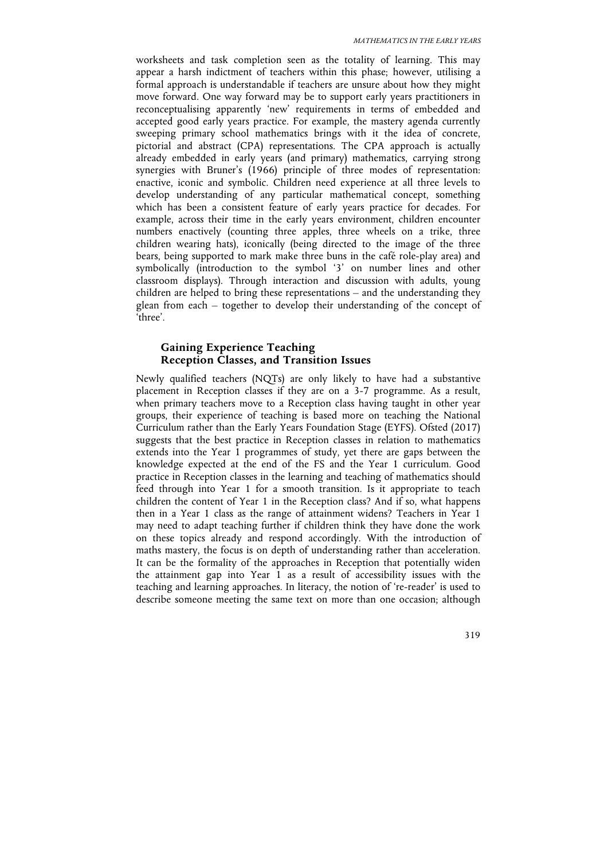worksheets and task completion seen as the totality of learning. This may appear a harsh indictment of teachers within this phase; however, utilising a formal approach is understandable if teachers are unsure about how they might move forward. One way forward may be to support early years practitioners in reconceptualising apparently 'new' requirements in terms of embedded and accepted good early years practice. For example, the mastery agenda currently sweeping primary school mathematics brings with it the idea of concrete, pictorial and abstract (CPA) representations. The CPA approach is actually already embedded in early years (and primary) mathematics, carrying strong synergies with Bruner's (1966) principle of three modes of representation: enactive, iconic and symbolic. Children need experience at all three levels to develop understanding of any particular mathematical concept, something which has been a consistent feature of early years practice for decades. For example, across their time in the early years environment, children encounter numbers enactively (counting three apples, three wheels on a trike, three children wearing hats), iconically (being directed to the image of the three bears, being supported to mark make three buns in the café role-play area) and symbolically (introduction to the symbol '3' on number lines and other classroom displays). Through interaction and discussion with adults, young children are helped to bring these representations – and the understanding they glean from each – together to develop their understanding of the concept of 'three'.

# **Gaining Experience Teaching Reception Classes, and Transition Issues**

Newly qualified teachers (NQTs) are only likely to have had a substantive placement in Reception classes if they are on a 3-7 programme. As a result, when primary teachers move to a Reception class having taught in other year groups, their experience of teaching is based more on teaching the National Curriculum rather than the Early Years Foundation Stage (EYFS). Ofsted (2017) suggests that the best practice in Reception classes in relation to mathematics extends into the Year 1 programmes of study, yet there are gaps between the knowledge expected at the end of the FS and the Year 1 curriculum. Good practice in Reception classes in the learning and teaching of mathematics should feed through into Year 1 for a smooth transition. Is it appropriate to teach children the content of Year 1 in the Reception class? And if so, what happens then in a Year 1 class as the range of attainment widens? Teachers in Year 1 may need to adapt teaching further if children think they have done the work on these topics already and respond accordingly. With the introduction of maths mastery, the focus is on depth of understanding rather than acceleration. It can be the formality of the approaches in Reception that potentially widen the attainment gap into Year 1 as a result of accessibility issues with the teaching and learning approaches. In literacy, the notion of 're-reader' is used to describe someone meeting the same text on more than one occasion; although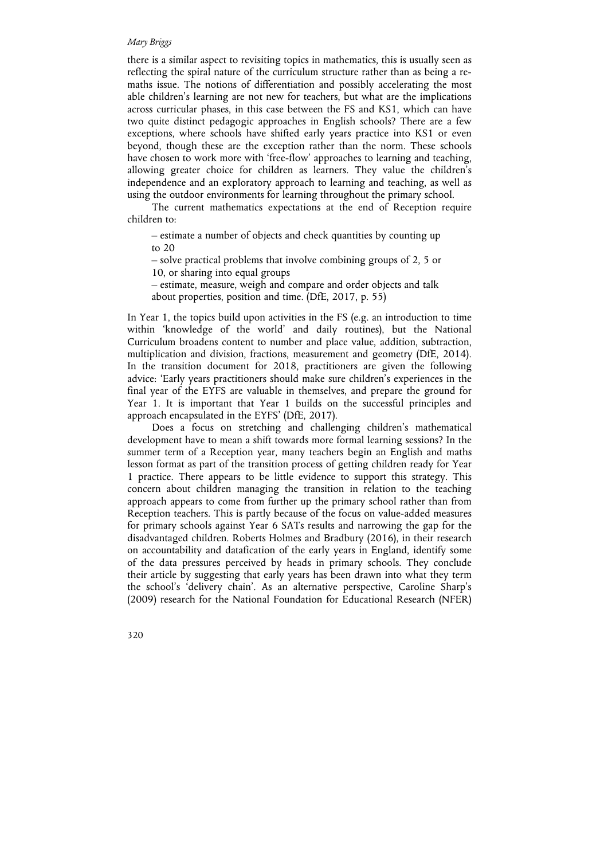there is a similar aspect to revisiting topics in mathematics, this is usually seen as reflecting the spiral nature of the curriculum structure rather than as being a remaths issue. The notions of differentiation and possibly accelerating the most able children's learning are not new for teachers, but what are the implications across curricular phases, in this case between the FS and KS1, which can have two quite distinct pedagogic approaches in English schools? There are a few exceptions, where schools have shifted early years practice into KS1 or even beyond, though these are the exception rather than the norm. These schools have chosen to work more with 'free-flow' approaches to learning and teaching, allowing greater choice for children as learners. They value the children's independence and an exploratory approach to learning and teaching, as well as using the outdoor environments for learning throughout the primary school.

The current mathematics expectations at the end of Reception require children to:

– estimate a number of objects and check quantities by counting up to 20

– solve practical problems that involve combining groups of 2, 5 or 10, or sharing into equal groups

– estimate, measure, weigh and compare and order objects and talk about properties, position and time. (DfE, 2017, p. 55)

In Year 1, the topics build upon activities in the FS (e.g. an introduction to time within 'knowledge of the world' and daily routines), but the National Curriculum broadens content to number and place value, addition, subtraction, multiplication and division, fractions, measurement and geometry (DfE, 2014). In the transition document for 2018, practitioners are given the following advice: 'Early years practitioners should make sure children's experiences in the final year of the EYFS are valuable in themselves, and prepare the ground for Year 1. It is important that Year 1 builds on the successful principles and approach encapsulated in the EYFS' (DfE, 2017).

Does a focus on stretching and challenging children's mathematical development have to mean a shift towards more formal learning sessions? In the summer term of a Reception year, many teachers begin an English and maths lesson format as part of the transition process of getting children ready for Year 1 practice. There appears to be little evidence to support this strategy. This concern about children managing the transition in relation to the teaching approach appears to come from further up the primary school rather than from Reception teachers. This is partly because of the focus on value-added measures for primary schools against Year 6 SATs results and narrowing the gap for the disadvantaged children. Roberts Holmes and Bradbury (2016), in their research on accountability and datafication of the early years in England, identify some of the data pressures perceived by heads in primary schools. They conclude their article by suggesting that early years has been drawn into what they term the school's 'delivery chain'. As an alternative perspective, Caroline Sharp's (2009) research for the National Foundation for Educational Research (NFER)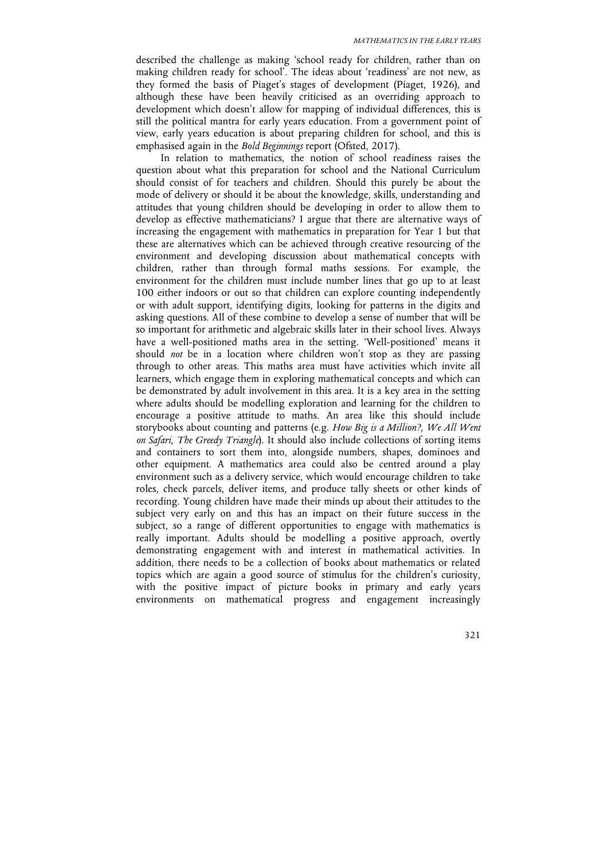described the challenge as making 'school ready for children, rather than on making children ready for school'. The ideas about 'readiness' are not new, as they formed the basis of Piaget's stages of development (Piaget, 1926), and although these have been heavily criticised as an overriding approach to development which doesn't allow for mapping of individual differences, this is still the political mantra for early years education. From a government point of view, early years education is about preparing children for school, and this is emphasised again in the *Bold Beginnings* report (Ofsted, 2017).

In relation to mathematics, the notion of school readiness raises the question about what this preparation for school and the National Curriculum should consist of for teachers and children. Should this purely be about the mode of delivery or should it be about the knowledge, skills, understanding and attitudes that young children should be developing in order to allow them to develop as effective mathematicians? I argue that there are alternative ways of increasing the engagement with mathematics in preparation for Year 1 but that these are alternatives which can be achieved through creative resourcing of the environment and developing discussion about mathematical concepts with children, rather than through formal maths sessions. For example, the environment for the children must include number lines that go up to at least 100 either indoors or out so that children can explore counting independently or with adult support, identifying digits, looking for patterns in the digits and asking questions. All of these combine to develop a sense of number that will be so important for arithmetic and algebraic skills later in their school lives. Always have a well-positioned maths area in the setting. 'Well-positioned' means it should *not* be in a location where children won't stop as they are passing through to other areas. This maths area must have activities which invite all learners, which engage them in exploring mathematical concepts and which can be demonstrated by adult involvement in this area. It is a key area in the setting where adults should be modelling exploration and learning for the children to encourage a positive attitude to maths. An area like this should include storybooks about counting and patterns (e.g. *How Big is a Million?*, *We All Went on Safari*, *The Greedy Triangle*). It should also include collections of sorting items and containers to sort them into, alongside numbers, shapes, dominoes and other equipment. A mathematics area could also be centred around a play environment such as a delivery service, which would encourage children to take roles, check parcels, deliver items, and produce tally sheets or other kinds of recording. Young children have made their minds up about their attitudes to the subject very early on and this has an impact on their future success in the subject, so a range of different opportunities to engage with mathematics is really important. Adults should be modelling a positive approach, overtly demonstrating engagement with and interest in mathematical activities. In addition, there needs to be a collection of books about mathematics or related topics which are again a good source of stimulus for the children's curiosity, with the positive impact of picture books in primary and early years environments on mathematical progress and engagement increasingly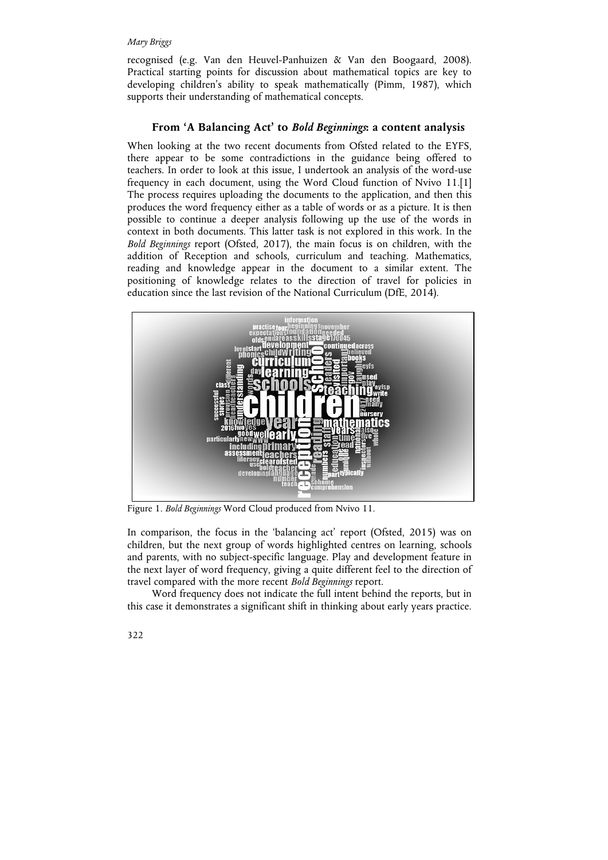recognised (e.g. Van den Heuvel-Panhuizen & Van den Boogaard, 2008). Practical starting points for discussion about mathematical topics are key to developing children's ability to speak mathematically (Pimm, 1987), which supports their understanding of mathematical concepts.

## **From 'A Balancing Act' to** *Bold Beginnings***: a content analysis**

When looking at the two recent documents from Ofsted related to the EYFS, there appear to be some contradictions in the guidance being offered to teachers. In order to look at this issue, I undertook an analysis of the word-use frequency in each document, using the Word Cloud function of Nvivo 11.[1] The process requires uploading the documents to the application, and then this produces the word frequency either as a table of words or as a picture. It is then possible to continue a deeper analysis following up the use of the words in context in both documents. This latter task is not explored in this work. In the *Bold Beginnings* report (Ofsted, 2017), the main focus is on children, with the addition of Reception and schools, curriculum and teaching. Mathematics, reading and knowledge appear in the document to a similar extent. The positioning of knowledge relates to the direction of travel for policies in education since the last revision of the National Curriculum (DfE, 2014).



Figure 1. *Bold Beginnings* Word Cloud produced from Nvivo 11.

In comparison, the focus in the 'balancing act' report (Ofsted, 2015) was on children, but the next group of words highlighted centres on learning, schools and parents, with no subject-specific language. Play and development feature in the next layer of word frequency, giving a quite different feel to the direction of travel compared with the more recent *Bold Beginnings* report.

Word frequency does not indicate the full intent behind the reports, but in this case it demonstrates a significant shift in thinking about early years practice.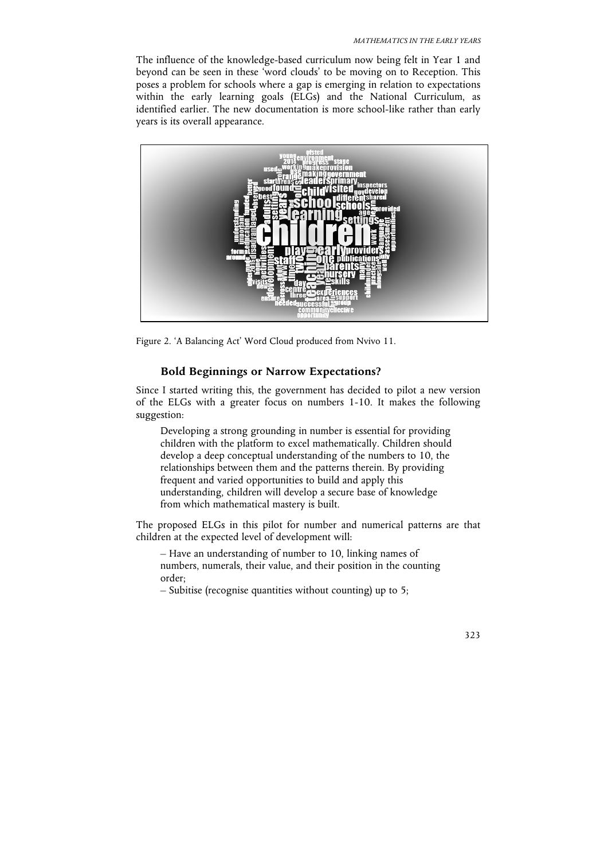The influence of the knowledge-based curriculum now being felt in Year 1 and beyond can be seen in these 'word clouds' to be moving on to Reception. This poses a problem for schools where a gap is emerging in relation to expectations within the early learning goals (ELGs) and the National Curriculum, as identified earlier. The new documentation is more school-like rather than early years is its overall appearance.



Figure 2. 'A Balancing Act' Word Cloud produced from Nvivo 11.

### **Bold Beginnings or Narrow Expectations?**

Since I started writing this, the government has decided to pilot a new version of the ELGs with a greater focus on numbers 1-10. It makes the following suggestion:

Developing a strong grounding in number is essential for providing children with the platform to excel mathematically. Children should develop a deep conceptual understanding of the numbers to 10, the relationships between them and the patterns therein. By providing frequent and varied opportunities to build and apply this understanding, children will develop a secure base of knowledge from which mathematical mastery is built.

The proposed ELGs in this pilot for number and numerical patterns are that children at the expected level of development will:

– Have an understanding of number to 10, linking names of numbers, numerals, their value, and their position in the counting order;

– Subitise (recognise quantities without counting) up to 5;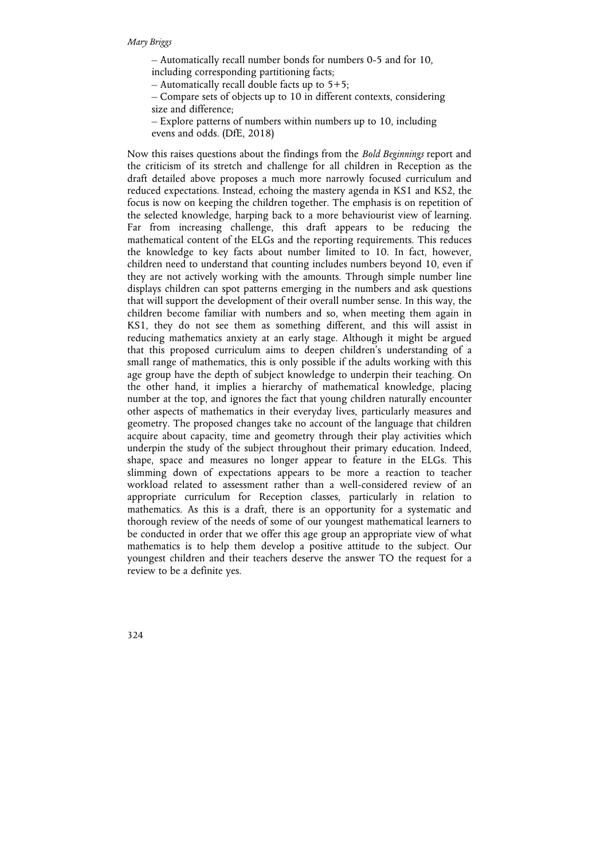– Automatically recall number bonds for numbers 0-5 and for 10,

including corresponding partitioning facts;

– Automatically recall double facts up to  $5+5$ ;

– Compare sets of objects up to 10 in different contexts, considering size and difference;

– Explore patterns of numbers within numbers up to 10, including evens and odds. (DfE, 2018)

Now this raises questions about the findings from the *Bold Beginnings* report and the criticism of its stretch and challenge for all children in Reception as the draft detailed above proposes a much more narrowly focused curriculum and reduced expectations. Instead, echoing the mastery agenda in KS1 and KS2, the focus is now on keeping the children together. The emphasis is on repetition of the selected knowledge, harping back to a more behaviourist view of learning. Far from increasing challenge, this draft appears to be reducing the mathematical content of the ELGs and the reporting requirements. This reduces the knowledge to key facts about number limited to 10. In fact, however, children need to understand that counting includes numbers beyond 10, even if they are not actively working with the amounts. Through simple number line displays children can spot patterns emerging in the numbers and ask questions that will support the development of their overall number sense. In this way, the children become familiar with numbers and so, when meeting them again in KS1, they do not see them as something different, and this will assist in reducing mathematics anxiety at an early stage. Although it might be argued that this proposed curriculum aims to deepen children's understanding of a small range of mathematics, this is only possible if the adults working with this age group have the depth of subject knowledge to underpin their teaching. On the other hand, it implies a hierarchy of mathematical knowledge, placing number at the top, and ignores the fact that young children naturally encounter other aspects of mathematics in their everyday lives, particularly measures and geometry. The proposed changes take no account of the language that children acquire about capacity, time and geometry through their play activities which underpin the study of the subject throughout their primary education. Indeed, shape, space and measures no longer appear to feature in the ELGs. This slimming down of expectations appears to be more a reaction to teacher workload related to assessment rather than a well-considered review of an appropriate curriculum for Reception classes, particularly in relation to mathematics. As this is a draft, there is an opportunity for a systematic and thorough review of the needs of some of our youngest mathematical learners to be conducted in order that we offer this age group an appropriate view of what mathematics is to help them develop a positive attitude to the subject. Our youngest children and their teachers deserve the answer TO the request for a review to be a definite yes.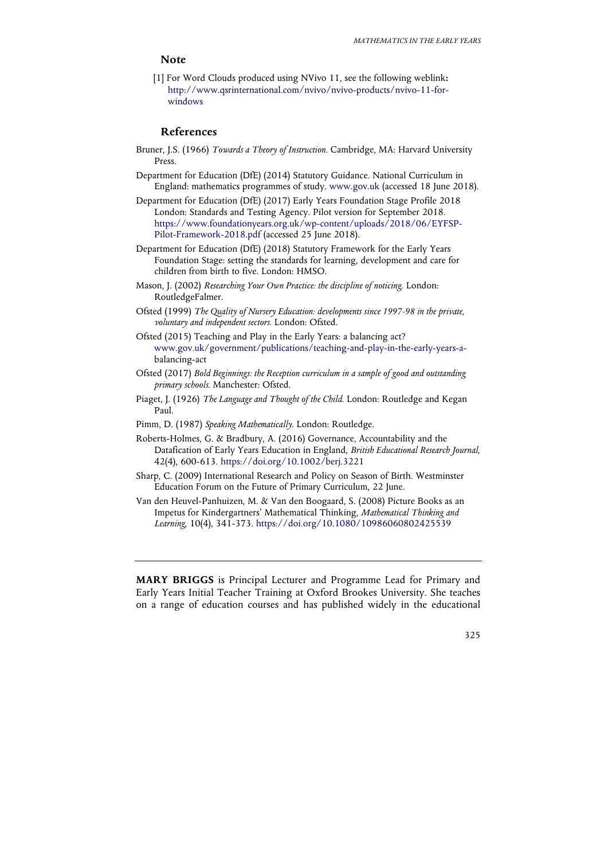# **Note**

[1] For Word Clouds produced using NVivo 11, see the following weblink**:** http://www.qsrinternational.com/nvivo/nvivo-products/nvivo-11-forwindows

## **References**

- Bruner, J.S. (1966) *Towards a Theory of Instruction*. Cambridge, MA: Harvard University Press.
- Department for Education (DfE) (2014) Statutory Guidance. National Curriculum in England: mathematics programmes of study. www.gov.uk (accessed 18 June 2018).
- Department for Education (DfE) (2017) Early Years Foundation Stage Profile 2018 London: Standards and Testing Agency. Pilot version for September 2018. https://www.foundationyears.org.uk/wp-content/uploads/2018/06/EYFSP-Pilot-Framework-2018.pdf (accessed 25 June 2018).
- Department for Education (DfE) (2018) Statutory Framework for the Early Years Foundation Stage: setting the standards for learning, development and care for children from birth to five. London: HMSO.
- Mason, J. (2002) *Researching Your Own Practice: the discipline of noticing*. London: RoutledgeFalmer.
- Ofsted (1999) *The Quality of Nursery Education: developments since 1997-98 in the private, voluntary and independent sectors.* London: Ofsted.
- Ofsted (2015) Teaching and Play in the Early Years: a balancing act? www.gov.uk/government/publications/teaching-and-play-in-the-early-years-abalancing-act
- Ofsted (2017) *Bold Beginnings: the Reception curriculum in a sample of good and outstanding primary schools*. Manchester: Ofsted.
- Piaget, J. (1926) *The Language and Thought of the Child*. London: Routledge and Kegan Paul.
- Pimm, D. (1987) *Speaking Mathematically*. London: Routledge.
- Roberts-Holmes, G. & Bradbury, A. (2016) Governance, Accountability and the Datafication of Early Years Education in England, *British Educational Research Journal*, 42(4), 600-613. https://doi.org/10.1002/berj.3221
- Sharp, C. (2009) International Research and Policy on Season of Birth. Westminster Education Forum on the Future of Primary Curriculum, 22 June.
- Van den Heuvel-Panhuizen, M. & Van den Boogaard, S. (2008) Picture Books as an Impetus for Kindergartners' Mathematical Thinking, *Mathematical Thinking and Learning*, 10(4), 341-373. https://doi.org/10.1080/10986060802425539

**MARY BRIGGS** is Principal Lecturer and Programme Lead for Primary and Early Years Initial Teacher Training at Oxford Brookes University. She teaches on a range of education courses and has published widely in the educational